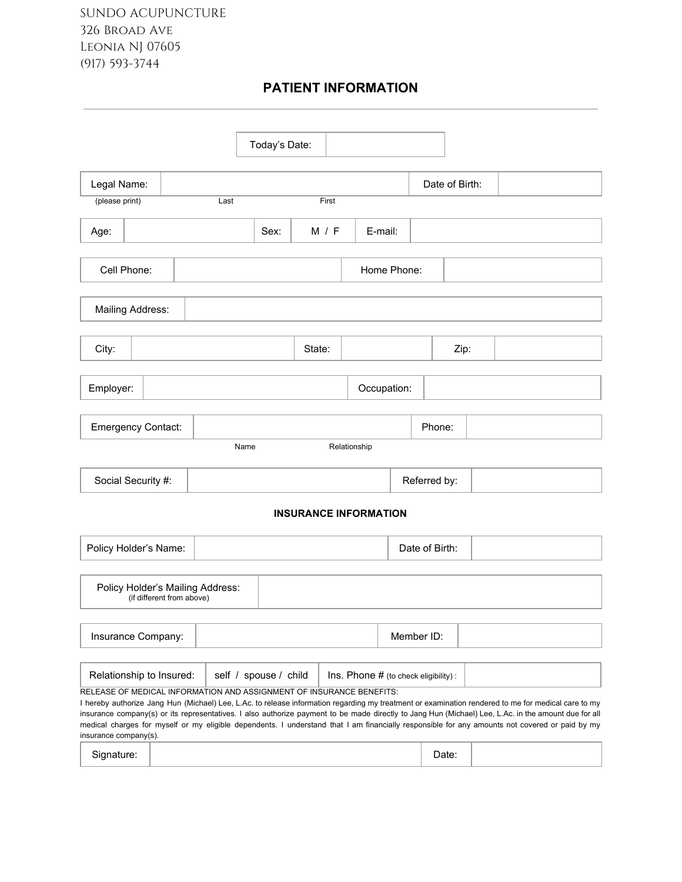# **PATIENT INFORMATION**

|                                                                                                                                                                                                                                                                                                                                                                                                                                                                                                                                                                                            |                           |                                  | Today's Date:         |                              |              |             |             |                                       |      |  |  |  |
|--------------------------------------------------------------------------------------------------------------------------------------------------------------------------------------------------------------------------------------------------------------------------------------------------------------------------------------------------------------------------------------------------------------------------------------------------------------------------------------------------------------------------------------------------------------------------------------------|---------------------------|----------------------------------|-----------------------|------------------------------|--------------|-------------|-------------|---------------------------------------|------|--|--|--|
| Legal Name:                                                                                                                                                                                                                                                                                                                                                                                                                                                                                                                                                                                |                           |                                  |                       |                              |              |             |             | Date of Birth:                        |      |  |  |  |
| (please print)                                                                                                                                                                                                                                                                                                                                                                                                                                                                                                                                                                             |                           | Last                             |                       | First                        |              |             |             |                                       |      |  |  |  |
| Age:                                                                                                                                                                                                                                                                                                                                                                                                                                                                                                                                                                                       |                           |                                  | Sex:                  | M / F                        |              | E-mail:     |             |                                       |      |  |  |  |
| Cell Phone:                                                                                                                                                                                                                                                                                                                                                                                                                                                                                                                                                                                |                           |                                  |                       |                              |              |             | Home Phone: |                                       |      |  |  |  |
| Mailing Address:                                                                                                                                                                                                                                                                                                                                                                                                                                                                                                                                                                           |                           |                                  |                       |                              |              |             |             |                                       |      |  |  |  |
| City:                                                                                                                                                                                                                                                                                                                                                                                                                                                                                                                                                                                      |                           |                                  |                       | State:                       |              |             |             |                                       | Zip: |  |  |  |
| Employer:                                                                                                                                                                                                                                                                                                                                                                                                                                                                                                                                                                                  |                           |                                  |                       |                              |              | Occupation: |             |                                       |      |  |  |  |
| <b>Emergency Contact:</b>                                                                                                                                                                                                                                                                                                                                                                                                                                                                                                                                                                  |                           |                                  |                       |                              |              |             |             | Phone:                                |      |  |  |  |
|                                                                                                                                                                                                                                                                                                                                                                                                                                                                                                                                                                                            |                           | Name                             |                       |                              | Relationship |             |             |                                       |      |  |  |  |
| Social Security #:                                                                                                                                                                                                                                                                                                                                                                                                                                                                                                                                                                         |                           |                                  |                       |                              |              |             |             | Referred by:                          |      |  |  |  |
|                                                                                                                                                                                                                                                                                                                                                                                                                                                                                                                                                                                            |                           |                                  |                       | <b>INSURANCE INFORMATION</b> |              |             |             |                                       |      |  |  |  |
| Policy Holder's Name:                                                                                                                                                                                                                                                                                                                                                                                                                                                                                                                                                                      |                           |                                  |                       |                              |              |             |             | Date of Birth:                        |      |  |  |  |
|                                                                                                                                                                                                                                                                                                                                                                                                                                                                                                                                                                                            | (if different from above) | Policy Holder's Mailing Address: |                       |                              |              |             |             |                                       |      |  |  |  |
| Insurance Company:                                                                                                                                                                                                                                                                                                                                                                                                                                                                                                                                                                         |                           |                                  |                       |                              |              |             | Member ID:  |                                       |      |  |  |  |
| Relationship to Insured:<br>RELEASE OF MEDICAL INFORMATION AND ASSIGNMENT OF INSURANCE BENEFITS:<br>I hereby authorize Jang Hun (Michael) Lee, L.Ac. to release information regarding my treatment or examination rendered to me for medical care to my<br>insurance company(s) or its representatives. I also authorize payment to be made directly to Jang Hun (Michael) Lee, L.Ac. in the amount due for all<br>medical charges for myself or my eligible dependents. I understand that I am financially responsible for any amounts not covered or paid by my<br>insurance company(s). |                           |                                  | self / spouse / child |                              |              |             |             | Ins. Phone # (to check eligibility) : |      |  |  |  |
| Signature:                                                                                                                                                                                                                                                                                                                                                                                                                                                                                                                                                                                 |                           |                                  |                       |                              |              |             |             | Date:                                 |      |  |  |  |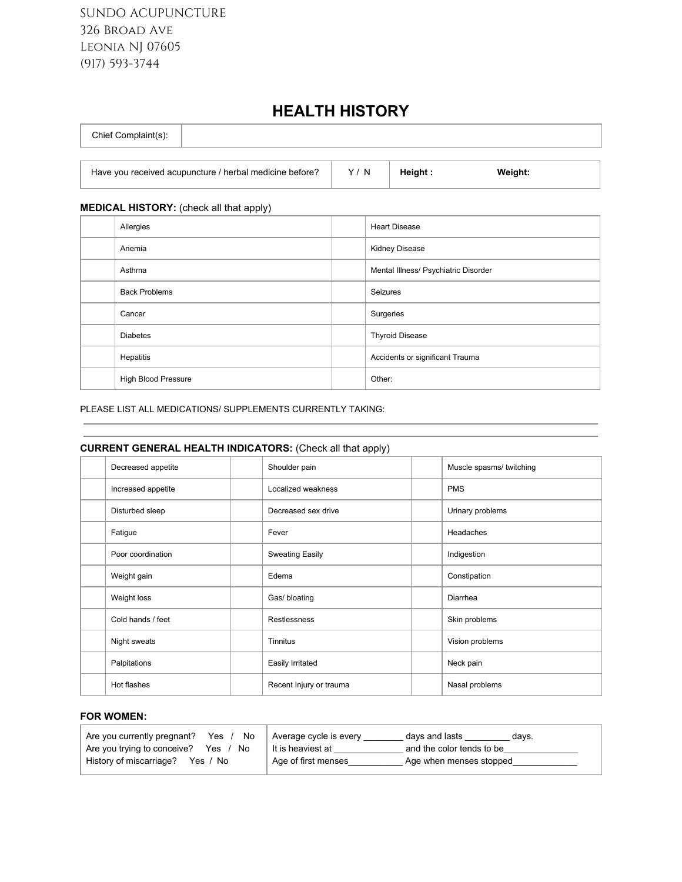SUNDO ACUPUNCTURE 326 Broad Ave Leonia NJ 07605 (917) 593-3744

# **HEALTH HISTORY**

| Chief Complaint(s): |  |
|---------------------|--|
|                     |  |

Have you received acupuncture / herbal medicine before?  $\vert$  Y / N **Height** : Weight:

### **MEDICAL HISTORY:** (check all that apply)

| Allergies            | <b>Heart Disease</b>                 |
|----------------------|--------------------------------------|
| Anemia               | <b>Kidney Disease</b>                |
| Asthma               | Mental Illness/ Psychiatric Disorder |
| <b>Back Problems</b> | Seizures                             |
| Cancer               | Surgeries                            |
| <b>Diabetes</b>      | <b>Thyroid Disease</b>               |
| Hepatitis            | Accidents or significant Trauma      |
| High Blood Pressure  | Other:                               |

#### PLEASE LIST ALL MEDICATIONS/ SUPPLEMENTS CURRENTLY TAKING:

### **CURRENT GENERAL HEALTH INDICATORS:** (Check all that apply)

| Decreased appetite | Shoulder pain           | Muscle spasms/ twitching |
|--------------------|-------------------------|--------------------------|
| Increased appetite | Localized weakness      | <b>PMS</b>               |
| Disturbed sleep    | Decreased sex drive     | Urinary problems         |
| Fatigue            | Fever                   | Headaches                |
| Poor coordination  | <b>Sweating Easily</b>  | Indigestion              |
| Weight gain        | Edema                   | Constipation             |
| Weight loss        | Gas/ bloating           | Diarrhea                 |
| Cold hands / feet  | Restlessness            | Skin problems            |
| Night sweats       | <b>Tinnitus</b>         | Vision problems          |
| Palpitations       | Easily Irritated        | Neck pain                |
| Hot flashes        | Recent Injury or trauma | Nasal problems           |

#### **FOR WOMEN:**

| Are you currently pregnant?<br>Yes $/$<br>No | Average cycle is every | days and lasts<br>davs.   |
|----------------------------------------------|------------------------|---------------------------|
| Are you trying to conceive? Yes /<br>No      | It is heaviest at      | and the color tends to be |
| History of miscarriage?<br>Yes / No          | Age of first menses    | Age when menses stopped   |